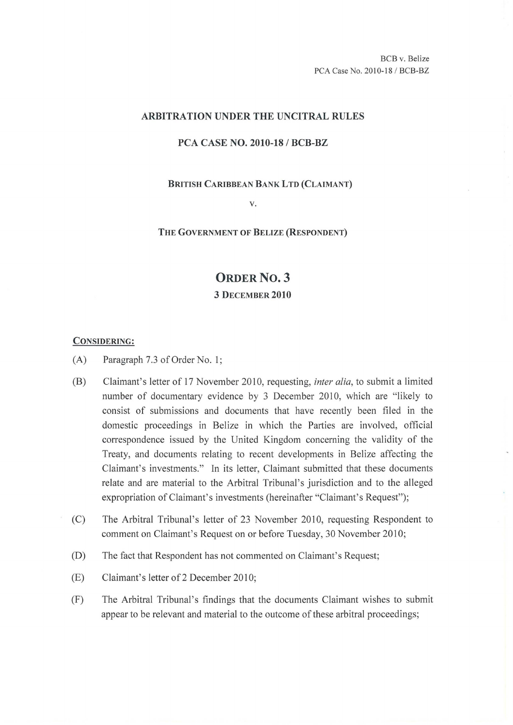### ARBITRATION UNDER THE UNCITRAL RULES

## PCA CASE NO. 2010-18/ BCB-BZ

#### BRITISH CARIBBEAN BANK LTD (CLAIMANT)

v.

#### THE GOVERNMENT OF BELIZE (RESPONDENT)

# ORDER No. 3 3 DECEMBER 2010

#### CONSIDERING:

- (A) Paragraph 7.3 of Order No. 1;
- (B) Claimant's letter of 17 November 2010, requesting, *inter alia,* to submit a limited number of documentary evidence by 3 December 2010, which are "likely to consist of submissions and documents that have recently been filed in the domestic proceedings in Belize in which the Parties are involved, official correspondence issued by the United Kingdom concerning the validity of the Treaty, and documents relating to recent developments in Belize affecting the Claimant's investments." In its letter, Claimant submitted that these documents relate and are material to the Arbitral Tribunal's jurisdiction and to the alleged expropriation of Claimant's investments (hereinafter "Claimant's Request");
- (C) The Arbitral Tribunal's letter of 23 November 2010, requesting Respondent to comment on Claimant's Request on or before Tuesday, 30 November 2010;
- (D) The fact that Respondent has not commented on Claimant's Request;
- (E) Claimant's letter of2 December 2010;
- (F) The Arbitral Tribunal's findings that the documents Claimant wishes to submit appear to be relevant and material to the outcome of these arbitral proceedings;